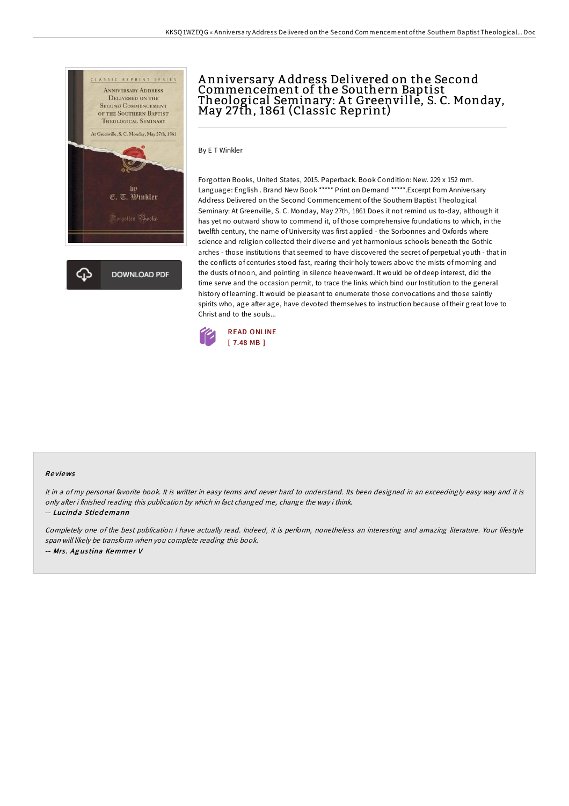

# A nniversary A ddress Delivered on the Second Commencement of the Southern Baptist Theological Seminary: At Greenville, S. C. Monday,<br>May 27th, 1861 (Classic Reprint)

By E T Winkler

Forgotten Books, United States, 2015. Paperback. Book Condition: New. 229 x 152 mm. Language: English . Brand New Book \*\*\*\*\* Print on Demand \*\*\*\*\*.Excerpt from Anniversary Address Delivered on the Second Commencement of the Southern Baptist Theological Seminary: At Greenville, S. C. Monday, May 27th, 1861 Does it not remind us to-day, although it has yet no outward show to commend it, of those comprehensive foundations to which, in the twelfth century, the name of University was first applied - the Sorbonnes and Oxfords where science and religion collected their diverse and yet harmonious schools beneath the Gothic arches - those institutions that seemed to have discovered the secret of perpetual youth - that in the conflicts of centuries stood fast, rearing their holy towers above the mists of morning and the dusts of noon, and pointing in silence heavenward. It would be of deep interest, did the time serve and the occasion permit, to trace the links which bind our Institution to the general history of learning. It would be pleasant to enumerate those convocations and those saintly spirits who, age after age, have devoted themselves to instruction because of their great love to Christ and to the souls...



#### Re views

It in <sup>a</sup> of my personal favorite book. It is writter in easy terms and never hard to understand. Its been designed in an exceedingly easy way and it is only after i finished reading this publication by which in fact changed me, change the way i think.

#### -- Lucinda Stiedemann

Completely one of the best publication <sup>I</sup> have actually read. Indeed, it is perform, nonetheless an interesting and amazing literature. Your lifestyle span will likely be transform when you complete reading this book. -- Mrs. Agustina Kemmer V